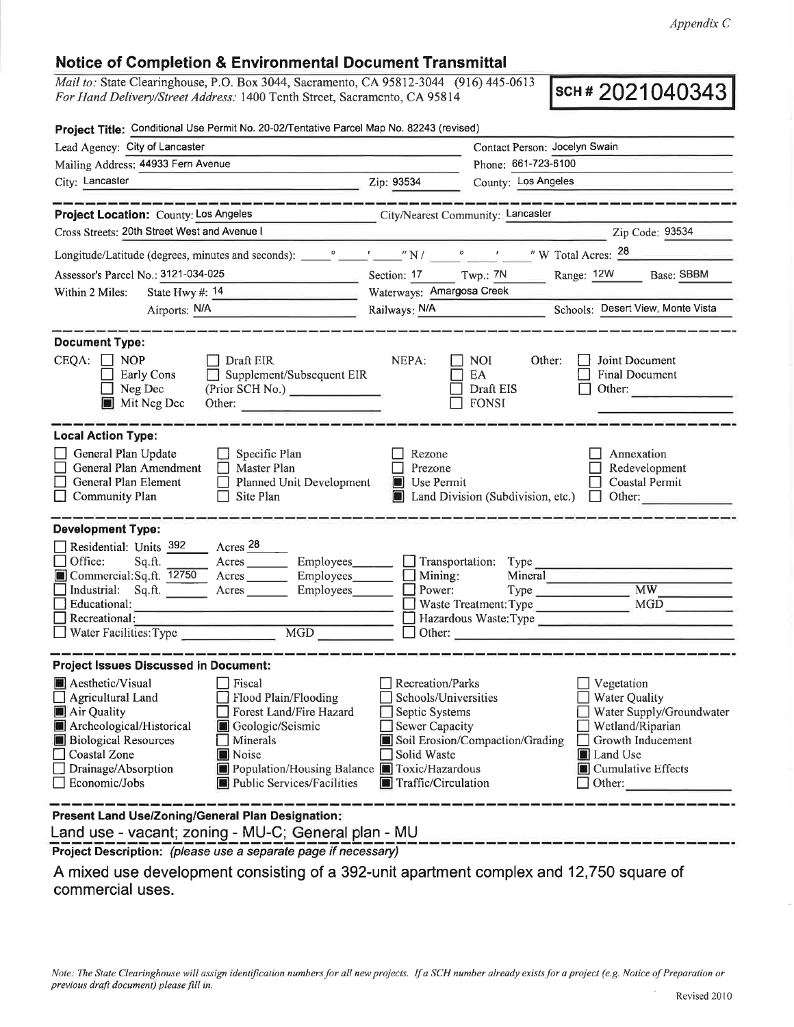## Notice of Completion & Environmental Document Transmittal

Mail to: State Clearinghouse, P.O. Box 3044, Sacramento, CA 95812-3044 (916) 445-0613 For Hand Delivery/Street Address: 1400 Tenth Street, Sacramento, CA 95814

scH # 2021040343

| Project Title: Conditional Use Permit No. 20-02/Tentative Parcel Map No. 82243 (revised)                                                                                                                             |                                                                                                                                                                                       |                                                                                                                           |                                                         |                                                                                                                                                            |
|----------------------------------------------------------------------------------------------------------------------------------------------------------------------------------------------------------------------|---------------------------------------------------------------------------------------------------------------------------------------------------------------------------------------|---------------------------------------------------------------------------------------------------------------------------|---------------------------------------------------------|------------------------------------------------------------------------------------------------------------------------------------------------------------|
| Lead Agency: City of Lancaster                                                                                                                                                                                       |                                                                                                                                                                                       | Contact Person: Jocelyn Swain                                                                                             |                                                         |                                                                                                                                                            |
| Mailing Address: 44933 Fern Avenue                                                                                                                                                                                   |                                                                                                                                                                                       | Phone: 661-723-6100                                                                                                       |                                                         |                                                                                                                                                            |
| City: Lancaster<br><u> 1989 - John Barn Barn, amerikansk politiker (</u>                                                                                                                                             |                                                                                                                                                                                       | County: Los Angeles<br>Zip: 93534                                                                                         |                                                         |                                                                                                                                                            |
| Project Location: County: Los Angeles                                                                                                                                                                                | وتبال تبنيه فيبيه تستر فتنبه تستوا تستوقفنا وتبيع فتتوجبوا فيقا وتبيع تستوقفنا والمواليقا تبيين فيبوسنوان                                                                             |                                                                                                                           | City/Nearest Community: Lancaster                       | والمواصل الموالي والمتواطن والمواطن والموالي والموالي والمواطن والموارقين                                                                                  |
| Cross Streets: 20th Street West and Avenue I                                                                                                                                                                         |                                                                                                                                                                                       |                                                                                                                           |                                                         | Zip Code: 93534                                                                                                                                            |
|                                                                                                                                                                                                                      |                                                                                                                                                                                       |                                                                                                                           |                                                         |                                                                                                                                                            |
| Assessor's Parcel No.: 3121-034-025                                                                                                                                                                                  |                                                                                                                                                                                       | Section: 17 Twp.: 7N                                                                                                      |                                                         | Range: 12W Base: SBBM                                                                                                                                      |
| Within 2 Miles:                                                                                                                                                                                                      |                                                                                                                                                                                       | Waterways: Amargosa Creek                                                                                                 |                                                         |                                                                                                                                                            |
| Airports: N/A<br>and the company of the company of the                                                                                                                                                               |                                                                                                                                                                                       |                                                                                                                           |                                                         | Railways: N/A Schools: Desert View, Monte Vista                                                                                                            |
|                                                                                                                                                                                                                      |                                                                                                                                                                                       |                                                                                                                           |                                                         |                                                                                                                                                            |
| <b>Document Type:</b><br>$CEQA: \Box NOP$<br>Early Cons<br>Neg Dec<br>Mit Neg Dec                                                                                                                                    | $\Box$ Draft EIR<br>$\Box$ Supplement/Subsequent EIR<br>(Prior SCH No.)<br>Other:                                                                                                     | NEPA:                                                                                                                     | <b>NOI</b><br>Other:<br>EA<br>Draft EIS<br><b>FONSI</b> | Joint Document<br><b>Final Document</b><br>Other:                                                                                                          |
| <b>Local Action Type:</b><br>General Plan Update<br>General Plan Amendment<br>General Plan Element<br>Community Plan                                                                                                 | $\Box$ Specific Plan<br>$\Box$ Master Plan<br>Planned Unit Development<br>П<br>Site Plan                                                                                              | Rezone<br>Prezone<br>Use Permit<br>$\blacksquare$                                                                         | Land Division (Subdivision, etc.) $\Box$                | Annexation<br>Redevelopment<br><b>Coastal Permit</b><br>Other:                                                                                             |
| <b>Development Type:</b><br>Residential: Units 392 Acres 28<br>Office:<br>Sq.ft.<br>Commercial:Sq.ft. 12750 Acres Employees Mining:<br>Industrial: Sq.ft.<br>Educational:<br>Recreational:<br>Water Facilities: Type | Acres Employees Transportation: Type<br>$\boxed{\text{MGD}}{\_\_\_\_\_\_\_\_\_\_}$                                                                                                    | Power:                                                                                                                    | Mineral<br>Waste Treatment: Type                        | $\overline{\text{MW}}$<br><b>MGD</b><br>$\Box$ Other: $\Box$                                                                                               |
| <b>Project Issues Discussed in Document:</b>                                                                                                                                                                         |                                                                                                                                                                                       |                                                                                                                           |                                                         |                                                                                                                                                            |
| Aesthetic/Visual<br>Agricultural Land<br>Air Quality<br>Archeological/Historical<br><b>Biological Resources</b><br>Coastal Zone<br>Drainage/Absorption<br>Economic/Jobs                                              | Fiscal<br>Flood Plain/Flooding<br>Forest Land/Fire Hazard<br>Geologic/Seismic<br>Minerals<br><b>Noise</b><br>Population/Housing Balance Toxic/Hazardous<br>Public Services/Facilities | Recreation/Parks<br>Schools/Universities<br>Septic Systems<br><b>Sewer Capacity</b><br>Solid Waste<br>Traffic/Circulation | Soil Erosion/Compaction/Grading                         | Vegetation<br><b>Water Quality</b><br>Water Supply/Groundwater<br>Wetland/Riparian<br>Growth Inducement<br><b>Land Use</b><br>Cumulative Effects<br>Other: |
| Present Land Use/Zoning/General Plan Designation:                                                                                                                                                                    |                                                                                                                                                                                       |                                                                                                                           |                                                         |                                                                                                                                                            |
| Land use - vacant; zoning - MU-C; General plan - MU                                                                                                                                                                  |                                                                                                                                                                                       |                                                                                                                           |                                                         |                                                                                                                                                            |
| <b>Project Description:</b> (please use a senarate nage if necessary)                                                                                                                                                |                                                                                                                                                                                       |                                                                                                                           |                                                         |                                                                                                                                                            |

Project Description: (please use a separate page if necessary)

A mixed use development consisting of a 392-unit apartment complex and 12,750 square of commercial uses.